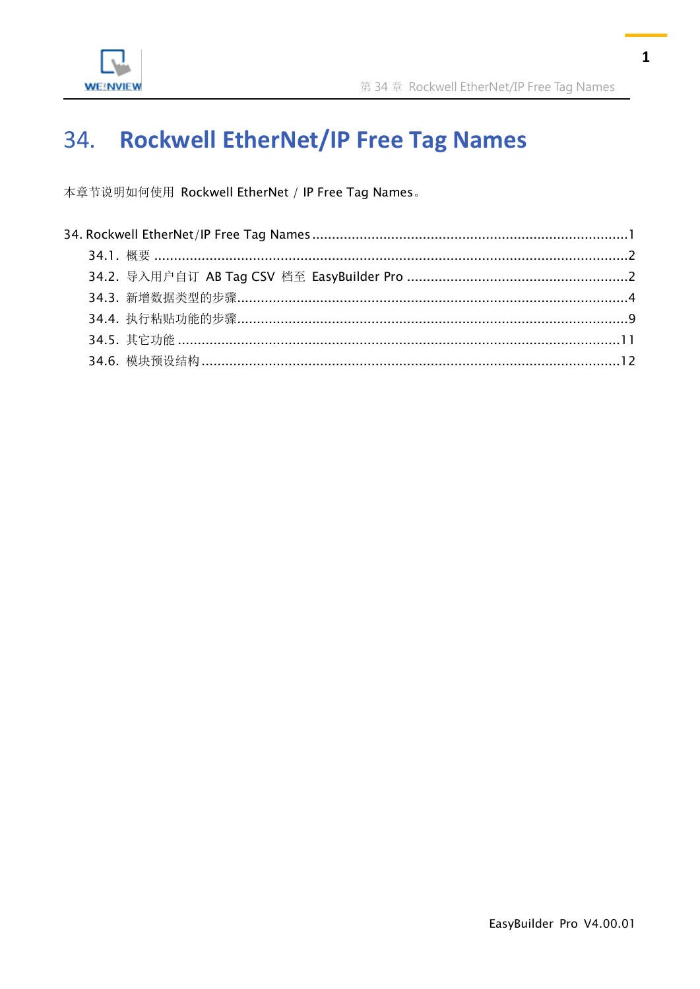

#### <span id="page-0-0"></span>**Rockwell EtherNet/IP Free Tag Names** 34.

本章节说明如何使用 Rockwell EtherNet / IP Free Tag Names。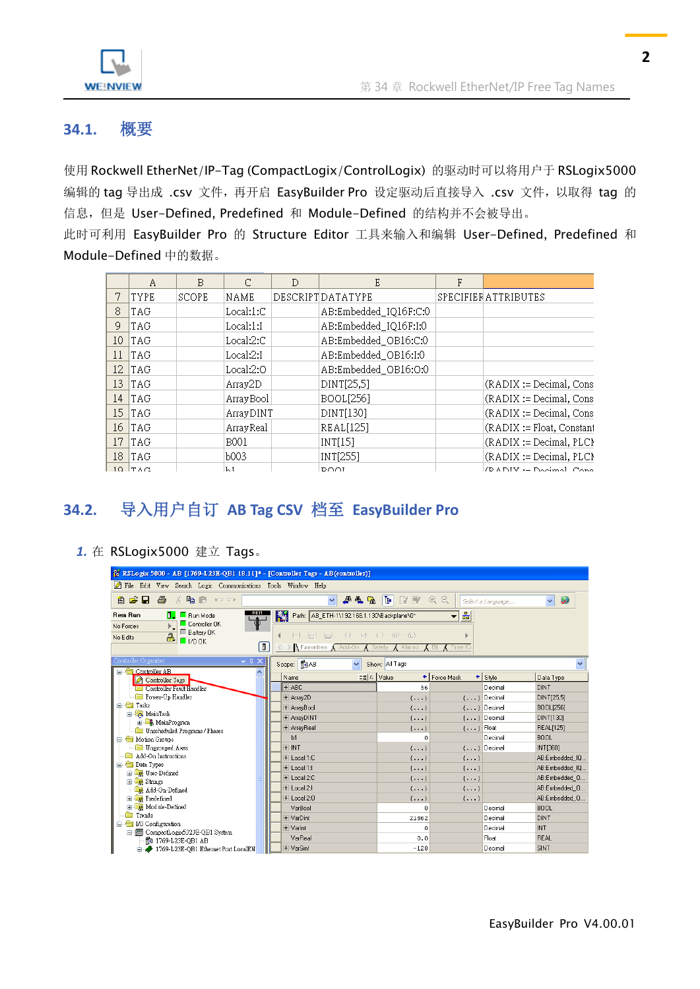

#### <span id="page-1-0"></span>**34.1.** 概要

使用 Rockwell EtherNet/IP-Tag (CompactLogix/ControlLogix) 的驱动时可以将用户于 RSLogix5000 编辑的 tag 导出成 .csv 文件, 再开启 EasyBuilder Pro 设定驱动后直接导入 .csv 文件, 以取得 tag 的 信息, 但是 User-Defined, Predefined 和 Module-Defined 的结构并不会被导出。

此时可利用 EasyBuilder Pro 的 Structure Editor 工具来输入和编辑 User-Defined, Predefined 和 Module-Defined 中的数据。

|    | Α           | B            |            | D | E                     | F |                            |
|----|-------------|--------------|------------|---|-----------------------|---|----------------------------|
| 7  | <b>TYPE</b> | <b>SCOPE</b> | NAME       |   | DESCRIPTDATATYPE      |   | SPECIFIERATTRIBUTES        |
| 8  | TAG         |              | Local:1:C  |   | AB:Embedded_IQ16F:C:0 |   |                            |
| 9  | TAG         |              | Local:1:1  |   | AB:Embedded_IQ16F:I:0 |   |                            |
| 10 | <b>TAG</b>  |              | Local:2:C  |   | AB:Embedded_OB16:C:0  |   |                            |
| 11 | <b>TAG</b>  |              | Local:2:1  |   | AB:Embedded_OB16:I:0  |   |                            |
| 12 | <b>TAG</b>  |              | Local:2:0  |   | AB:Embedded_OB16:O:0  |   |                            |
| 13 | <b>TAG</b>  |              | Array2D    |   | DINT[25,5]            |   | $(RADIX := Decimal, Cons)$ |
| 14 | <b>TAG</b>  |              | Array Bool |   | <b>BOOL[256]</b>      |   | (RADIX := Decimal, Cons    |
| 15 | <b>TAG</b>  |              | ArrayDINT  |   | DINT[130]             |   | $(RADIX := Decimal, Cons)$ |
| 16 | <b>TAG</b>  |              | ArrayReal  |   | REAL[125]             |   | (RADIX := Float, Constant  |
| 17 | <b>TAG</b>  |              | B001       |   | INT[15]               |   | (RADIX := Decimal, PLC)    |
| 18 | <b>TAG</b>  |              | Ь003       |   | INT[255]              |   | $(RADIX := Decimal, PLC)$  |
|    | $10$ TAC    |              | h1         |   | זרות ס                |   | (DADIV - Dacimal Cana      |

# <span id="page-1-1"></span>**34.2.** 导入用户自订 **AB Tag CSV** 档至 **EasyBuilder Pro**

#### *1.* 在 RSLogix5000 建立 Tags。

| <sup>22</sup> RSLogix 5000 - AB [1769-L23E-QB1 18.11]* - [Controller Tags - AB(controller)] |                                                           |                              |                      |                   |  |  |  |  |  |
|---------------------------------------------------------------------------------------------|-----------------------------------------------------------|------------------------------|----------------------|-------------------|--|--|--|--|--|
| File Edit View Search Logic Communications Tools Window Help                                |                                                           |                              |                      |                   |  |  |  |  |  |
| ê cê hi<br>全<br>※ 亀 島<br><b>IO OI</b>                                                       | 华鸟区<br>$\checkmark$                                       | Œ<br>RR<br>00                | Select a Language    | Ø<br>$\checkmark$ |  |  |  |  |  |
| 훏<br>K.<br><b>Rem Run</b><br>Path: AB ETH-1\192.168.1.130\Backplane\0*<br>п<br>Run Mode     |                                                           |                              |                      |                   |  |  |  |  |  |
| Controller OK<br>No Forces                                                                  |                                                           |                              |                      |                   |  |  |  |  |  |
| <b>E</b> Battery OK<br>a<br>No Edits<br>$\Box$ 1/0 OK                                       | H H H                                                     | $+ + + + + + + + + +$        |                      |                   |  |  |  |  |  |
| O                                                                                           | <b>Favorites A</b> Add-On <b>A</b> Safety <b>A</b> Alarms | $\chi$ Bit $\chi$ Timer/C    |                      |                   |  |  |  |  |  |
| Controller Organizer<br>- 4<br>$\Box$ $\bigoplus$ Controller AB                             | Scope: 图AB<br>$\checkmark$                                | Show: All Tags               |                      | $\checkmark$      |  |  |  |  |  |
| Controller Tags                                                                             | Name<br>$\leq$ $\leq$ $\leq$                              | Value<br>← Force Mask        | <b>Style</b><br>٠    | Data Type         |  |  |  |  |  |
| <b>Except Controller Fault Handler</b>                                                      | $+$ ABC                                                   | 56                           | Decimal              | <b>DINT</b>       |  |  |  |  |  |
| <b>Fower-Up Handler</b>                                                                     | + Array2D                                                 | $\{\ldots\}$                 | $\{\ldots\}$ Decimal | DINT[25.5]        |  |  |  |  |  |
| <b>E</b> Fasks                                                                              | + ArrayBool                                               | $\{\ldots\}$                 | $\{\ldots\}$ Decimal | BOOL[256]         |  |  |  |  |  |
| <b>Ex</b> MainTask<br><b>E</b> MainProgram                                                  | + ArrayDINT                                               | $\{ \}$                      | $\{\ldots\}$ Decimal | DINT[130]         |  |  |  |  |  |
| <b>Com</b> Unscheduled Programs / Phases                                                    | + ArrayReal                                               | $\{ \}$                      | $\{ \ldots \}$ Float | <b>REAL[125]</b>  |  |  |  |  |  |
| Motion Groups<br>Ėŀ                                                                         | b1                                                        | O                            | Decimal              | <b>BOOL</b>       |  |  |  |  |  |
| - <b>in</b> Ungrouped Axes                                                                  | $+$ -INT                                                  | $\{\ldots\}$                 | $\{\ldots\}$ Decimal | <b>INTI3601</b>   |  |  |  |  |  |
| Add-On Instructions                                                                         | E-Local:1:C                                               | $\{\ldots\}$<br>$\{\ldots\}$ |                      | AB:Embedded IQ    |  |  |  |  |  |
| <b>Data</b> Types                                                                           | + Local 1:L                                               | $\{ \}$<br>$\{ \}$           |                      | AB:Embedded IQ    |  |  |  |  |  |
| <b>E Light</b> User-Defined<br>E R Strings                                                  | $H$ -Local:2: $C$                                         | $\{ \}$<br>$\{ \}$           |                      | AB:Embedded 0     |  |  |  |  |  |
| Add-On-Defined                                                                              | $+$ -Local:2:1                                            | $\{\ldots\}$<br>$\{\ldots\}$ |                      | AB:Embedded_0     |  |  |  |  |  |
| <b>Exp</b> Predefined                                                                       | $+$ -Local:2:0                                            | $\{\ldots\}$<br>$\{\ldots\}$ |                      | AB:Embedded_0     |  |  |  |  |  |
| <b>E In</b> Module-Defined                                                                  | VarBool                                                   | n.                           | Decimal              | <b>BOOL</b>       |  |  |  |  |  |
| <b>Figure 1</b> Trends                                                                      | + VarDint                                                 | 21862                        | Decimal              | <b>DINT</b>       |  |  |  |  |  |
| in Configuration                                                                            | $+$ Varint                                                | 0                            | Decimal              | <b>INT</b>        |  |  |  |  |  |
| 白 图 CompactLogix5323E-QB1 System                                                            | VarReal                                                   | 0.0                          | Float                | REAL              |  |  |  |  |  |
| for 1769-L23E-OB1 AB<br>1769-L23E-QB1 Ethernet Port LocalEN                                 | + VarSint                                                 | $-128$                       | Decimal              | <b>SINT</b>       |  |  |  |  |  |
|                                                                                             |                                                           |                              |                      |                   |  |  |  |  |  |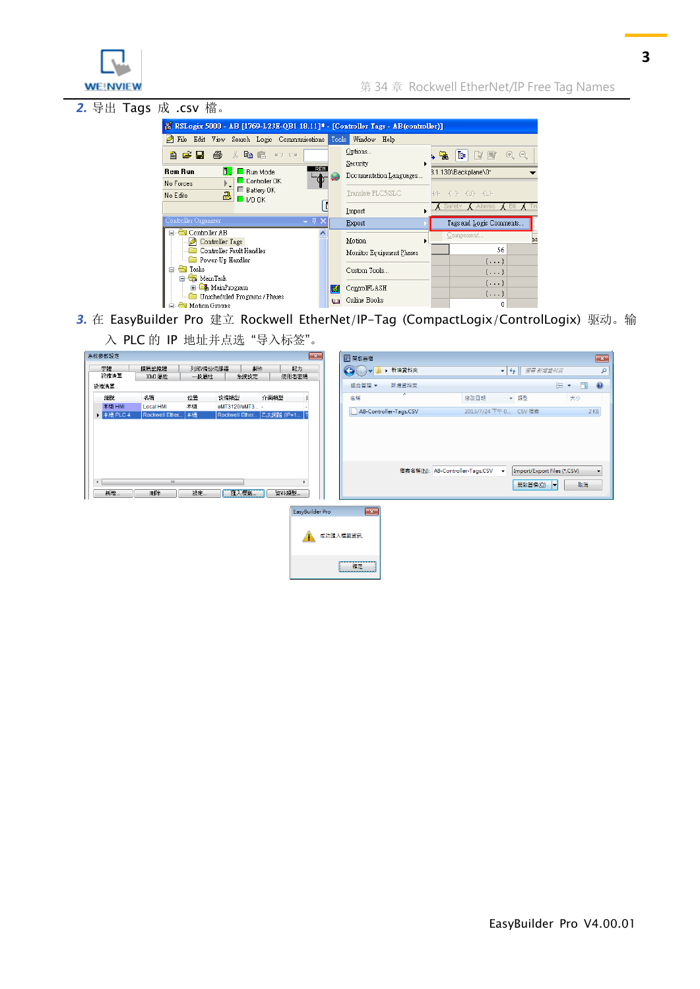

*2.* 导出 Tags 成 .csv 檔。  $\begin{tabular}{| c | c | c | c |} \hline \textbf{R} RSLogix 5000 - AB [1769-L23E-QB1 18.11] & - [Controller Iags - AB (controller)] \\ \hline \hline \end{tabular}$  <br> File Edit View Search Logic Communications Tools Window Help Options. **B B B** & B B D O  $\mathbb{R}$  (Fig.  $A$ Security **Rem Run**  $\frac{1}{2}$  **E** Run Mode 3.1.130\Backplane\0\* Documentation Languages. e ■ Controller OK<br>■ Battery OK  $\mathbb{F}_\bullet$ No Forces  $\overline{\mathbf{a}}$   $\overline{\mathbf{a}}$   $\mathbf{b}$   $\mathbf{b}$   $\mathbf{b}$ Translate PLC5/SLC  $\hspace{.1cm} \hspace{.1cm} \hspace{.1cm} \hspace{.1cm} \hspace{.1cm} \hspace{.1cm} \hspace{.1cm} \hspace{.1cm} \hspace{.1cm} \hspace{.1cm} \hspace{.1cm} \hspace{.1cm} \hspace{.1cm} \hspace{.1cm} \hspace{.1cm} \hspace{.1cm} \hspace{.1cm} \hspace{.1cm} \hspace{.1cm} \hspace{.1cm} \hspace{.1cm} \hspace{.1cm} \hspace{.1cm} \hspace{.1cm} \hspace{.1cm} \hspace{.1cm} \hspace{.1cm} \hspace{$ No Edits  $\overline{\phantom{a}}$   $\overline{\phantom{a}}$  Safety  $\overline{\phantom{a}}$  Alarms  $\overline{\phantom{a}}$  Bit  $\overline{\phantom{a}}$ Ħ Import  $\overline{4}$  X  $\overline{\text{Export}}$ Tags and Logic Comments **E** Controller AB Controller Tags<br>
Controller Tags<br>
Controller Fault Handler  $Motion$ </u> 56 Monitor Equipment Phases  $\{\ldots\}$ Tesks<br>  $\qquad \qquad \Box$  Tesks<br>  $\qquad \Box$  MainTask Custom Tools.  $\{\ldots\}$  $\{\ldots\}$ **E** MainProgram ControlFLASH  $\{\ldots\}$ Unscheduled Programs / Phases **Qa** Online Books  $\boldsymbol{0}$ Motion Groups

- *3.* 在 EasyBuilder Pro 建立 Rockwell EtherNet/IP-Tag (CompactLogix/ControlLogix) 驱动。输
	- 入 PLC 的 IP 地址并点选 "导入标签"。

| 系統參數設定                         |                             |                 |                |            | $\boxed{\mathbf{x}}$      | <b>B</b> 開啟舊檔                        |         |                                 |                          |                       |                                                            |        |
|--------------------------------|-----------------------------|-----------------|----------------|------------|---------------------------|--------------------------------------|---------|---------------------------------|--------------------------|-----------------------|------------------------------------------------------------|--------|
| 字體<br>設備清單                     | 擴展記憶體<br>HMI 屬性             | 列印備份伺服器<br>一般屬性 |                | 郵件<br>糸統設定 | 配方<br>使用者密碼               | $\bullet$<br>l ol                    | ▶ 新増資料夾 |                                 |                          | ▼ 4  製章 新增資料夾         |                                                            |        |
| 設備清單:                          |                             |                 |                |            |                           | 組合管理 ▼                               | 新增資料夾   |                                 |                          |                       | $E -$                                                      | $\Box$ |
| 編號                             | 名稱                          | 位置              | 設備類型           |            | 介面類型                      | 名稱                                   | y       | 修改日期                            |                          | ▼ 類型                  | 大小                                                         |        |
| 本機 HMI<br>▶ 本機 PLC 4           | Local HMI<br>Rockwell Ether | 本機<br>本機        | eMT3120/eMT3 - |            | Rockwell Ether Z太網路 (IP=1 | AB-Controller-Tags.CSV               |         |                                 |                          | 2013/7/24 下午 0 CSV 檔案 |                                                            | $2$ KB |
| $\overline{\phantom{a}}$<br>新增 | $\mathbf{m}$<br>剛除          | 設定              | 匯入標籤           |            | 資料類型                      |                                      |         | 檔案名稱(N): AB-Controller-Tags.CSV | $\overline{\phantom{a}}$ | 開啟舊檔(O)               | Import/Export Files (*.CSV)<br>$\left  \mathbf{v} \right $ | 取消     |
|                                |                             |                 |                |            | EasyBuilder Pro           | $\overline{\mathbf{x}}$<br>成功匯入標籤資訊. |         |                                 |                          |                       |                                                            |        |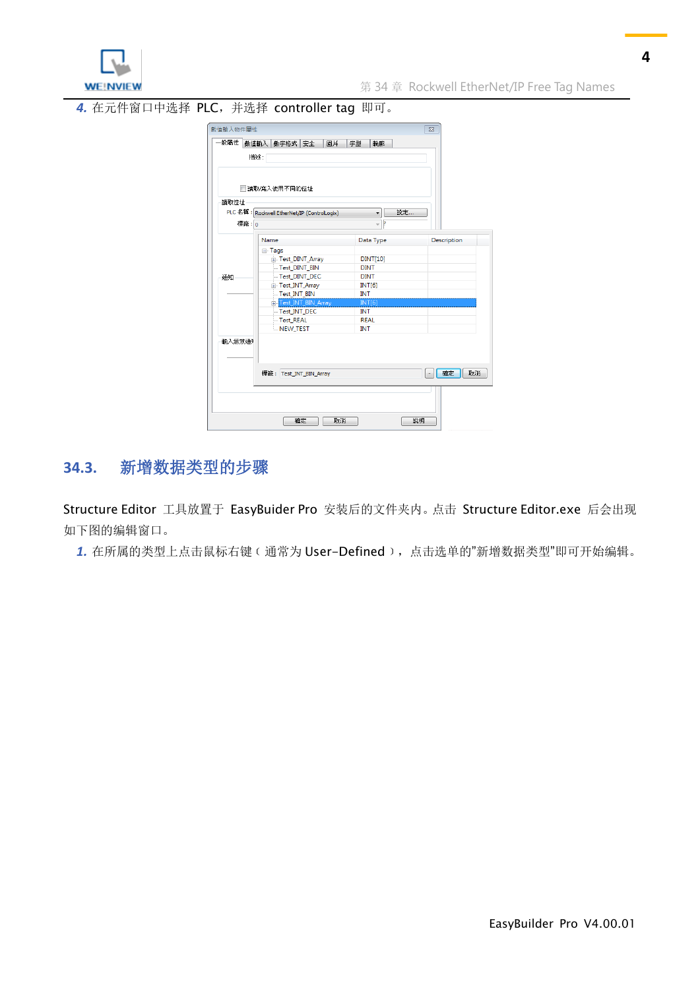

*4.* 在元件窗口中选择 PLC,并选择 controller tag 即可。

| -般屬性   | 數值輸入<br>數字格式 安全<br>圖片                       | 字型<br>輪廓                       |             |
|--------|---------------------------------------------|--------------------------------|-------------|
|        | 描述:                                         |                                |             |
|        | 青讀取/寫入使用不同的位址                               |                                |             |
| 讀取位址   |                                             |                                |             |
|        | PLC 名稱: Rockwell EtherNet/IP (ControlLogix) | 設定<br>▼                        |             |
|        | 標籤: 0                                       | Þ<br>$\overline{\phantom{a}}$  |             |
|        | Name                                        | Data Type                      | Description |
|        |                                             |                                |             |
|        | ⊟-Tags                                      |                                |             |
|        | F-Test_DINT_Array<br>-Test DINT BIN         | <b>DINT[10]</b><br><b>DINT</b> |             |
|        | - Test DINT DEC                             | <b>DINT</b>                    |             |
| 通知     | Fi-Test INT Array                           | INT[6]                         |             |
|        | - Test_INT_BIN                              | <b>INT</b>                     |             |
|        | Test_INT_BIN_Array                          | <b>INT[6]</b>                  |             |
|        | -Test_INT_DEC                               | <b>INT</b>                     |             |
|        | Test REAL                                   | <b>REAL</b>                    |             |
|        | NEW TEST                                    | <b>INT</b>                     |             |
| 輸入無效通知 |                                             |                                |             |
|        | 標籤: Test_INT_BIN_Array                      |                                | 確定<br>取消    |
|        |                                             |                                |             |

### <span id="page-3-0"></span>**34.3.** 新增数据类型的步骤

Structure Editor 工具放置于 EasyBuider Pro 安装后的文件夹内。点击 Structure Editor.exe 后会出现 如下图的编辑窗口。

*1.* 在所属的类型上点击鼠标右键﹝通常为 User-Defined﹞,点击选单的"新增数据类型"即可开始编辑。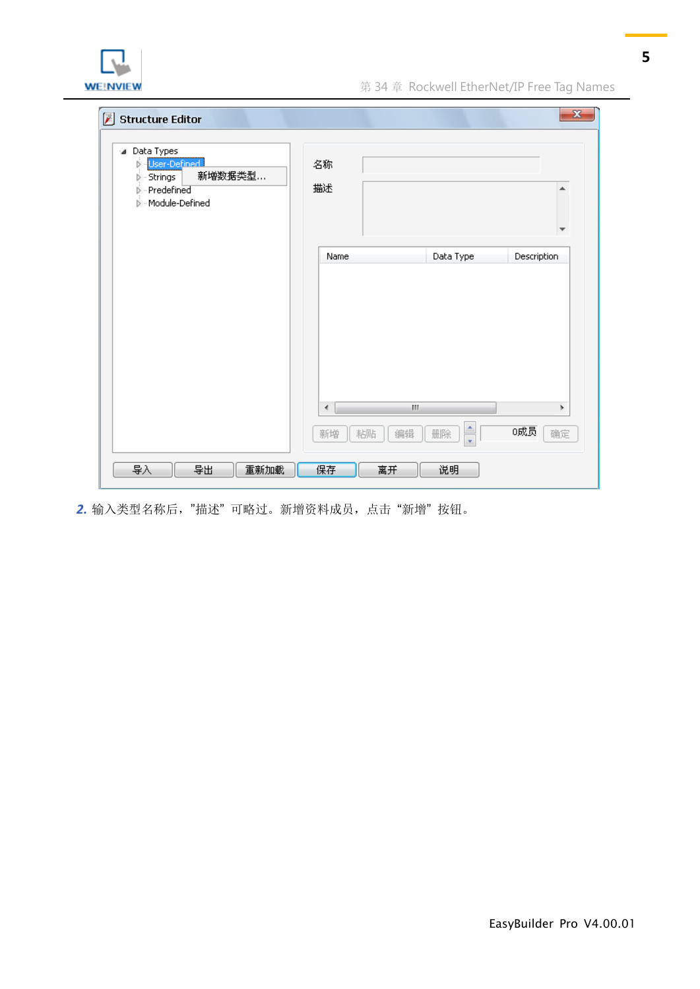

| 团<br><b>Structure Editor</b><br>⊿ Data Types<br>User-Defined<br>Ď.<br>新增数据类型<br>$\triangleright$ $\cdot$ Strings<br>- Predefined<br>D<br>Module-Defined | 名称<br>描述                    |                            | $\mathbf{x}$ |
|---------------------------------------------------------------------------------------------------------------------------------------------------------|-----------------------------|----------------------------|--------------|
|                                                                                                                                                         | Name                        | Data Type                  | Description  |
|                                                                                                                                                         |                             |                            |              |
|                                                                                                                                                         |                             |                            |              |
|                                                                                                                                                         |                             |                            |              |
|                                                                                                                                                         | HI.<br>$\blacktriangleleft$ |                            | Þ.           |
|                                                                                                                                                         | 编辑<br>粘贴<br>新增              | $\frac{1}{\sqrt{2}}$<br>删除 | 0成员<br>确定    |
| 导入<br>导出<br>重新加载                                                                                                                                        | 保存<br>离开                    | 说明                         |              |

*2.* 输入类型名称后,"描述" 可略过。新增资料成员,点击 "新增" 按钮。

**5**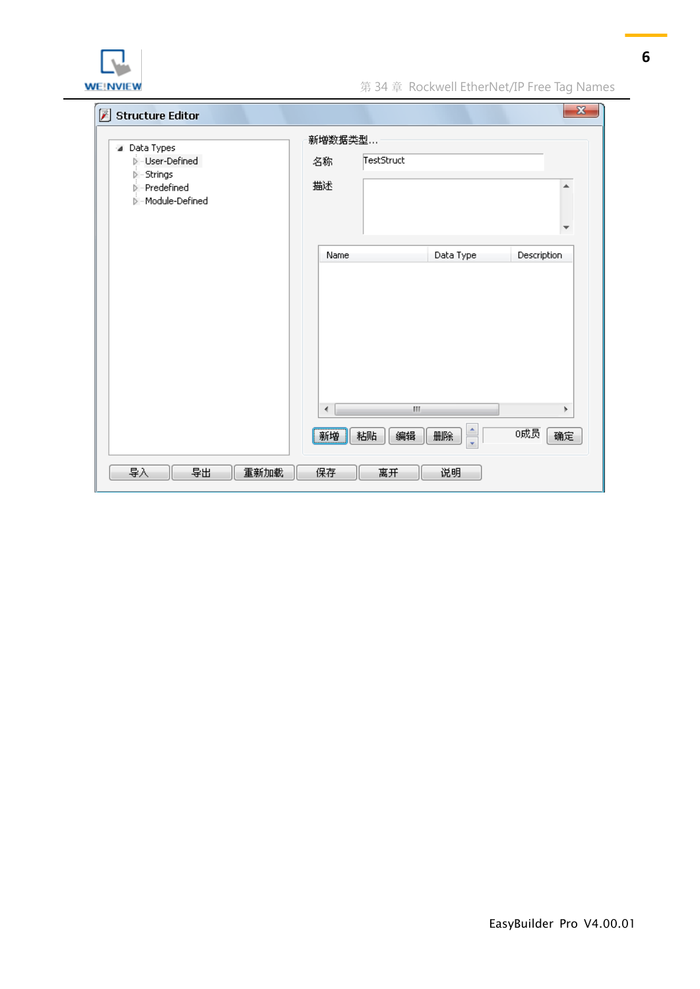

**WE!NVIEW** WE! WE! WE! WE! WE! WE! NOTE! The Magnetic SALE: 第 34 章 Rockwell EtherNet/IP Free Tag Names

| Structure Editor<br>⊿ Data Types<br><b>Di-User-Defined</b><br>$\triangleright$ - Strings<br><b>D</b> - Predefined<br>Module-Defined | 新增数据类型<br>TestStruct<br>名称<br>描述 |                                  | $\mathbf{x}$    |
|-------------------------------------------------------------------------------------------------------------------------------------|----------------------------------|----------------------------------|-----------------|
|                                                                                                                                     | Name                             | Data Type                        | Description     |
|                                                                                                                                     | $\leftarrow$<br>新增<br>粘贴         | HI.<br>$\frac{1}{x}$<br>编辑<br>删除 | Þ.<br>0成员<br>确定 |
| 导入<br>导出<br>重新加载                                                                                                                    | 保存<br>离开                         | 说明                               |                 |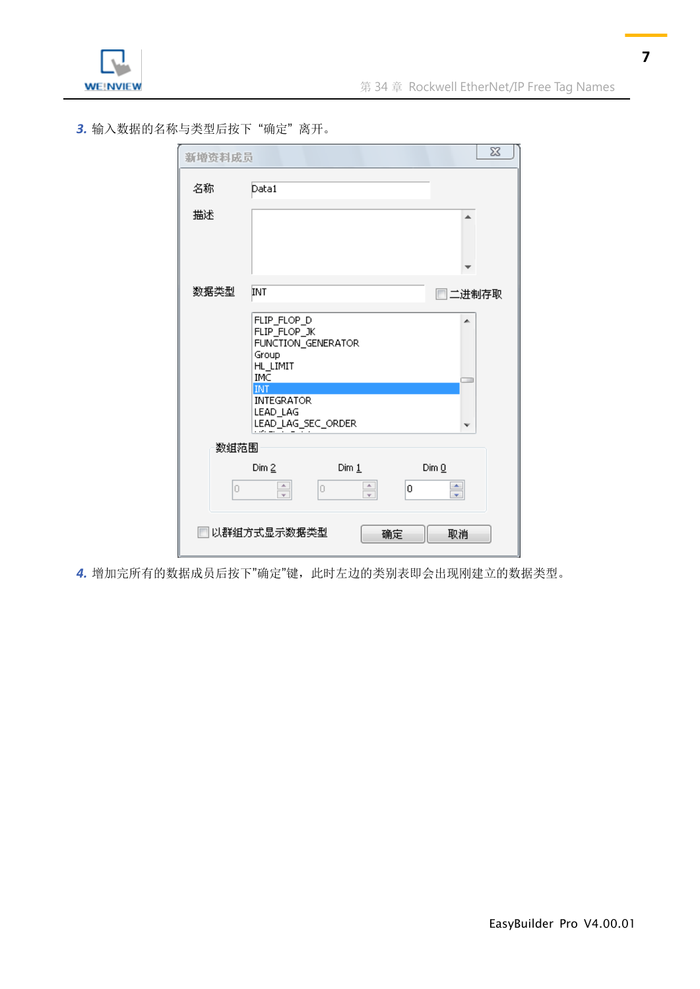

*3.* 输入数据的名称与类型后按下 "确定" 离开。

| 新增资料成员 | $\Sigma$                                                                                                                                                       |
|--------|----------------------------------------------------------------------------------------------------------------------------------------------------------------|
| 名称     | Data1                                                                                                                                                          |
| 描述     |                                                                                                                                                                |
| 数据类型   | INT<br>□二进制存取                                                                                                                                                  |
|        | FLIP_FLOP_D<br>▲<br>FLIP_FLOP_JK<br>FUNCTION_GENERATOR<br>Group<br>HL_LIMIT<br><b>IMC</b><br><b>INT</b><br><b>INTEGRATOR</b><br>LEAD_LAG<br>LEAD_LAG_SEC_ORDER |
| 数组范围   |                                                                                                                                                                |
| Ū      | Dim 2<br>$Dim_1$<br>DimQ<br>$\frac{1}{x}$<br>$\frac{1}{x}$<br>÷<br>0<br>о                                                                                      |
|        | 以群组方式显示数据类型<br>确定<br>取消                                                                                                                                        |

*4.* 增加完所有的数据成员后按下"确定"键,此时左边的类别表即会出现刚建立的数据类型。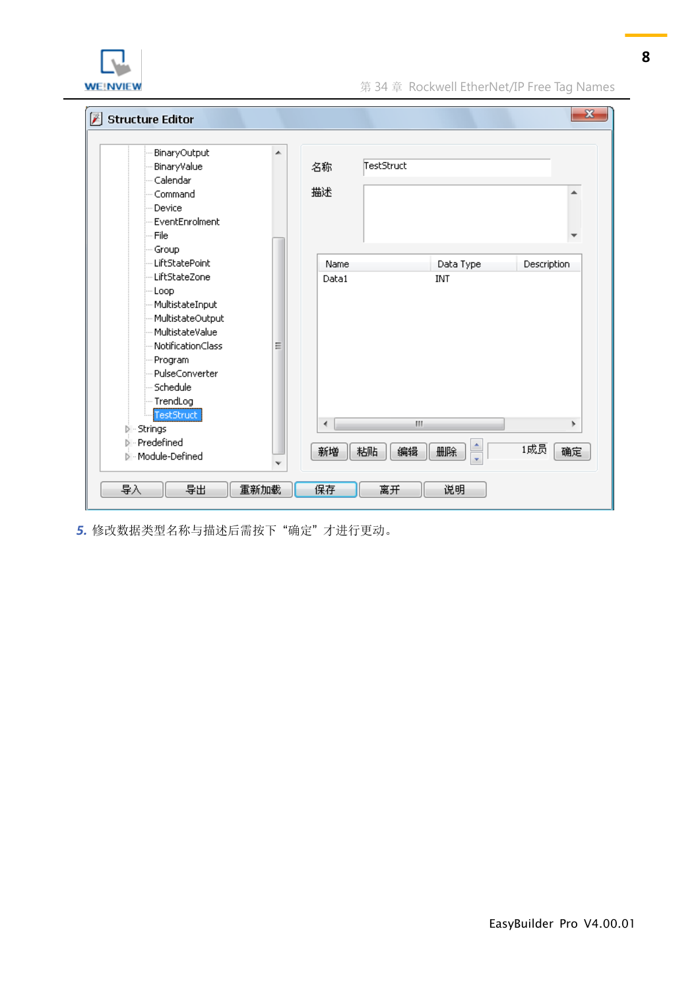

| BinaryOutput<br>BinaryValue<br>Calendar<br>Command<br>Device<br>EventEnrolment<br>-- File | ▲ | TestStruct<br>名称<br>描述 |           | ۸           |
|-------------------------------------------------------------------------------------------|---|------------------------|-----------|-------------|
| - Group<br>- LiftStatePoint                                                               |   | Name                   | Data Type | Description |
| LiftStateZone                                                                             |   | Data1                  | INT       |             |
| -- Loop                                                                                   |   |                        |           |             |
| - MultistateInput                                                                         |   |                        |           |             |
| - MultistateOutput                                                                        |   |                        |           |             |
| MultistateValue                                                                           |   |                        |           |             |
| NotificationClass                                                                         | Ξ |                        |           |             |
| Program                                                                                   |   |                        |           |             |
| PulseConverter                                                                            |   |                        |           |             |
| Schedule                                                                                  |   |                        |           |             |
| - TrendLog                                                                                |   |                        |           |             |
| TestStruct                                                                                |   | ∢                      | III.      | r           |
| Strings                                                                                   |   |                        |           |             |
| Predefined                                                                                |   | 新増<br>粘贴               | 编辑<br>删除  | 1成员<br>确定   |
| - Module-Defined                                                                          | v |                        |           |             |

*5.* 修改数据类型名称与描述后需按下 "确定" 才进行更动。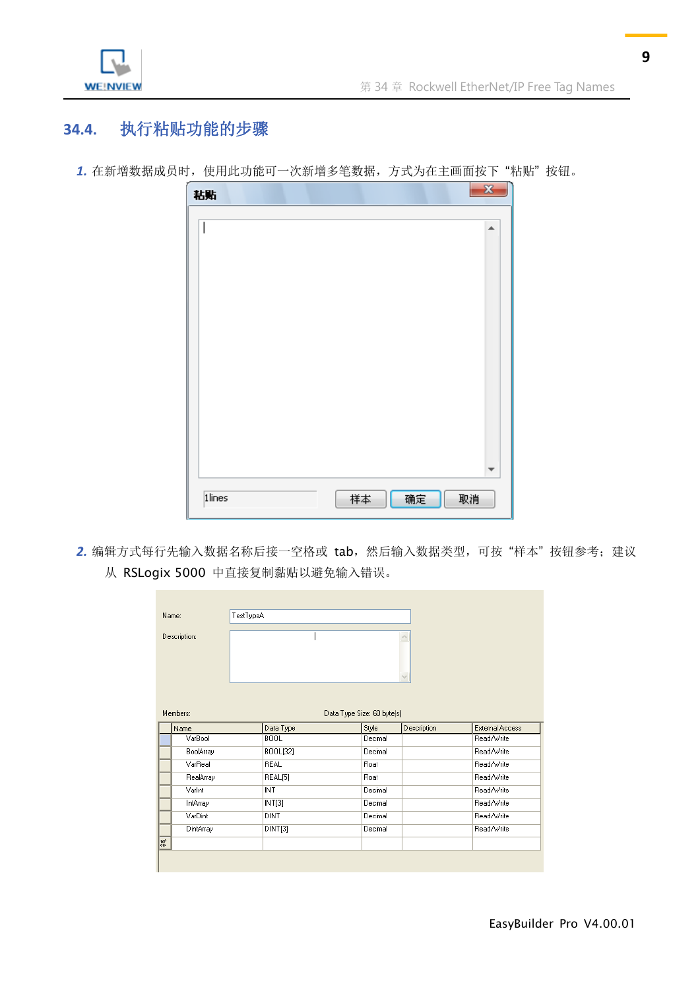

# <span id="page-8-0"></span>**34.4.** 执行粘贴功能的步骤

| 1. 在新增数据成员时, 使用此功能可一次新增多笔数据, 方式为在主画面按下"粘贴"按钮。 |  |  |  |  |  |
|-----------------------------------------------|--|--|--|--|--|
|-----------------------------------------------|--|--|--|--|--|



2. 编辑方式每行先输入数据名称后接一空格或 tab, 然后输入数据类型, 可按"样本"按钮参考; 建议 从 RSLogix 5000 中直接复制黏贴以避免输入错误。

| Name:            | TestTypeA   |                                     |             |                        |
|------------------|-------------|-------------------------------------|-------------|------------------------|
| Description:     |             |                                     |             |                        |
| Members:<br>Name | Data Type   | Data Type Size: 60 byte(s)<br>Style | Description | <b>External Access</b> |
|                  |             |                                     |             |                        |
| VarBool          | <b>BOOL</b> | Decimal                             |             | Read/Write             |
| BoolArray        | BOOL[32]    | Decimal                             |             | Read/Write             |
| VarReal          | REAL        | Float                               |             | Read/Write             |
| RealArray        | REAL[5]     | Float                               |             | Read/Write             |
| Varint           | INT         | Decimal                             |             | Read/Write             |
| IntArray         | INT[3]      | Decimal                             |             | Read/Write             |
| VarDint          | DINT        | Decimal                             |             | Read/Write             |
| DintArray        | DINT[3]     | Decimal                             |             | Read/Write             |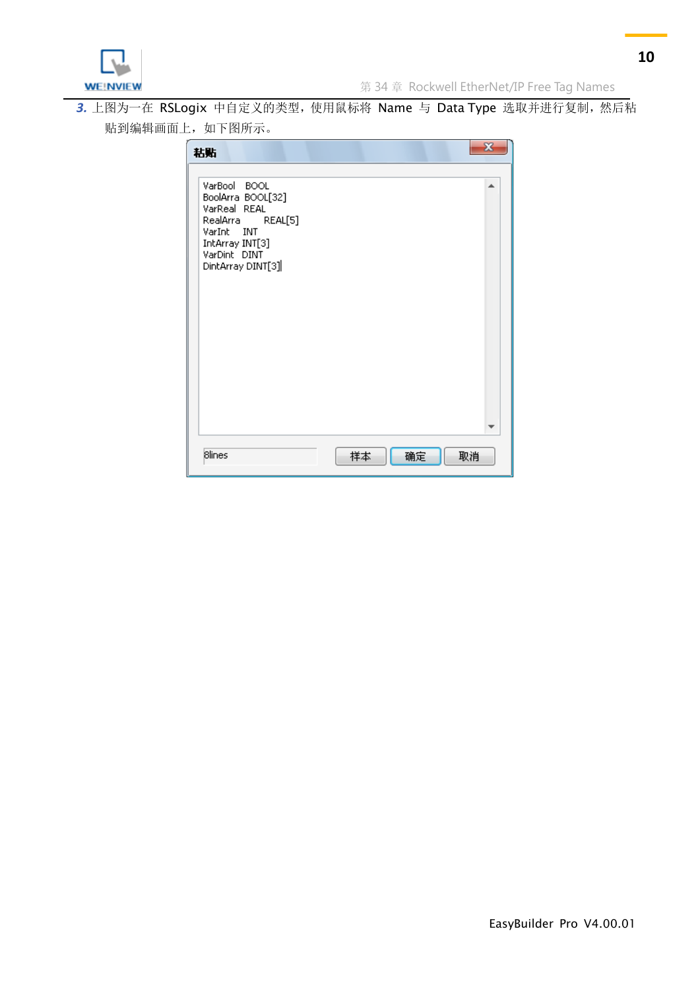3. 上图为一在 RSLogix 中自定义的类型, 使用鼠标将 Name 与 Data Type 选取并进行复制, 然后粘 贴到编辑画面上,如下图所示。

| 粘贴                                                                                                                                          |    |    | $\overline{\mathbf{x}}$ |
|---------------------------------------------------------------------------------------------------------------------------------------------|----|----|-------------------------|
| VarBool BOOL<br>BoolArra BOOL[32]<br>VarReal REAL<br>RealArra REAL[5]<br>VarInt INT<br>IntArray INT[3]<br>VarDint DINT<br>DintArray DINT[3] |    |    | ۰                       |
| <b>Blines</b>                                                                                                                               | 样本 | 确定 | 取消                      |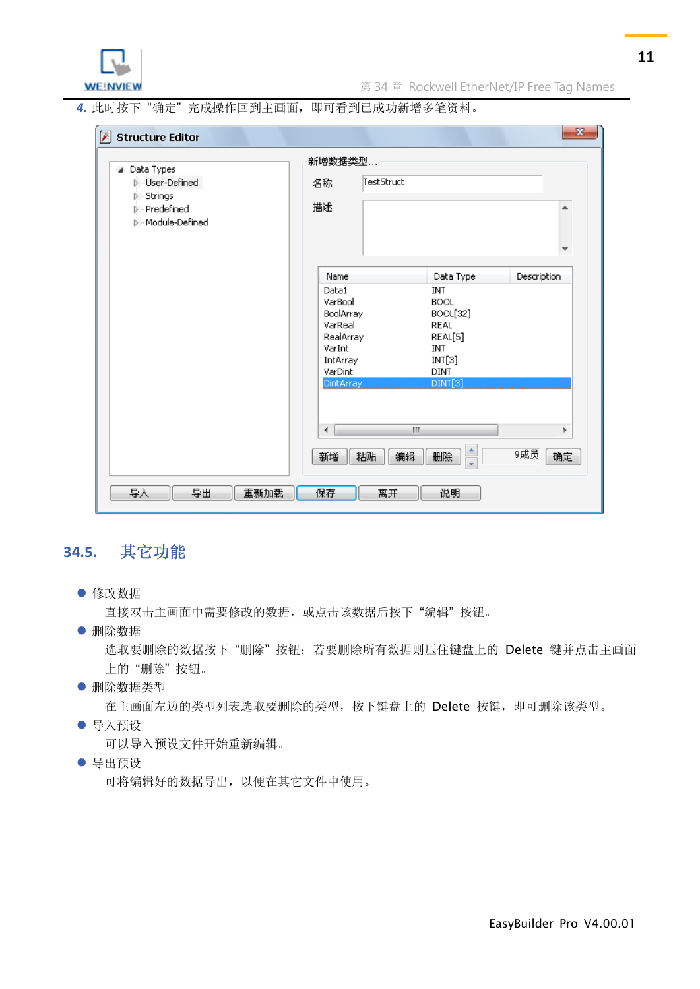

*4.* 此时按下 "确定" 完成操作回到主画面,即可看到已成功新增多笔资料。

| Structure Editor                                                                                                           |                                                                                                             |                                                                                                                                | $\mathbf{x}$       |  |  |
|----------------------------------------------------------------------------------------------------------------------------|-------------------------------------------------------------------------------------------------------------|--------------------------------------------------------------------------------------------------------------------------------|--------------------|--|--|
| Data Types<br>$\blacktriangleleft$<br><b>D</b> - User-Defined<br>- Strings<br>D<br><b>D</b> - Predefined<br>Module-Defined | 新增数据类型<br>名称<br>描述                                                                                          | TestStruct                                                                                                                     |                    |  |  |
|                                                                                                                            | Name<br>Data1<br>VarBool<br>BoolArray<br>VarReal<br>RealArray<br>VarInt<br>IntArray<br>VarDint<br>DintArray | Data Type<br><b>INT</b><br><b>BOOL</b><br>BOOL[32]<br><b>REAL</b><br>REAL[5]<br><b>INT</b><br>INT[3]<br><b>DINT</b><br>DINT[3] | <b>Description</b> |  |  |
| 导入<br>导出<br>重新加载                                                                                                           | ∢<br>新増<br>粘贴<br>保存<br>离开                                                                                   | m,<br>ţ<br>编辑<br>删除<br>说明                                                                                                      | Þ.<br>9成员<br>确定    |  |  |

## <span id="page-10-0"></span>**34.5.** 其它功能

修改数据

直接双击主画面中需要修改的数据,或点击该数据后按下"编辑"按钮。

删除数据

选取要删除的数据按下"删除"按钮;若要删除所有数据则压住键盘上的 Delete 键并点击主画面 上的 "删除" 按钮。

删除数据类型

在主画面左边的类型列表选取要删除的类型,按下键盘上的 Delete 按键,即可删除该类型。

导入预设

可以导入预设文件开始重新编辑。

导出预设

可将编辑好的数据导出,以便在其它文件中使用。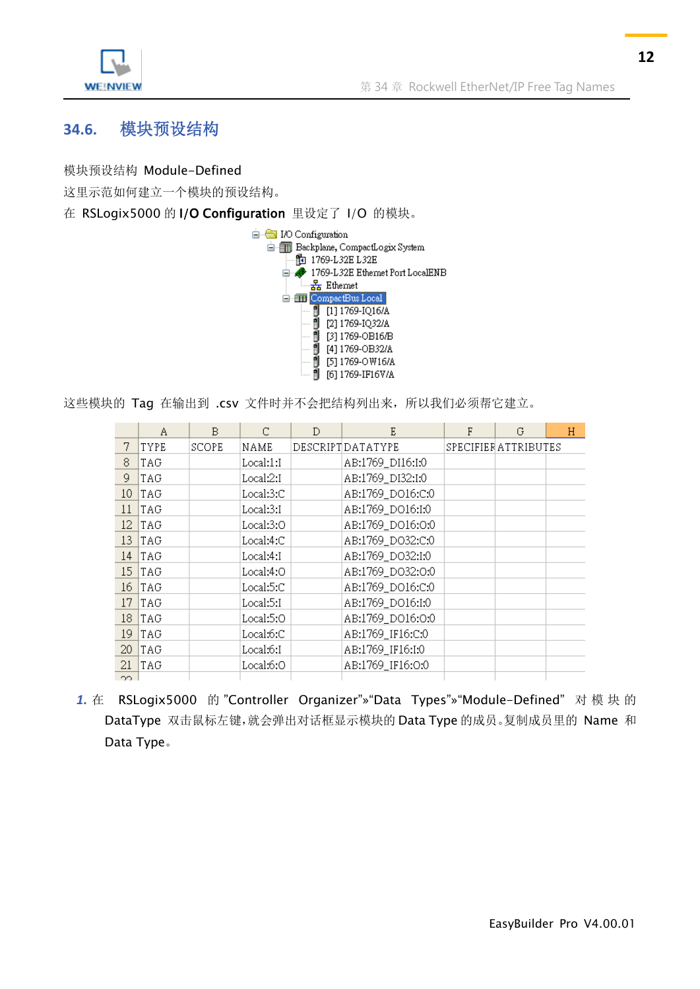

## <span id="page-11-0"></span>**34.6.** 模块预设结构

模块预设结构 Module-Defined

这里示范如何建立一个模块的预设结构。

在 RSLogix5000 的 I/O Configuration 里设定了 I/O 的模块。



这些模块的 Tag 在输出到 .csv 文件时并不会把结构列出来, 所以我们必须帮它建立。

|                 | Α        | B            | C         | D | E                 | F | G                   | H |
|-----------------|----------|--------------|-----------|---|-------------------|---|---------------------|---|
| 7               | TYPE     | <b>SCOPE</b> | NAME      |   | DESCRIPTIDATATYPE |   | SPECIFIERATTRIBUTES |   |
| 8               | TAG      |              | Local:1:I |   | AB:1769_DI16:I:0  |   |                     |   |
| 9               | TAG      |              | Local:2:I |   | AB:1769_DI32:I:0  |   |                     |   |
| 10 <sub>1</sub> | TAG      |              | Local:3:C |   | AB:1769 DO16:C:0  |   |                     |   |
| 11              | TAG      |              | Local:3:I |   | AB:1769_DO16:I:0  |   |                     |   |
|                 | $12$ TAG |              | Local:3:0 |   | AB:1769_DO16:0:0  |   |                     |   |
|                 | $13$ TAG |              | Local:4:C |   | AB:1769_DO32:C:0  |   |                     |   |
|                 | $14$ TAG |              | Local:4:I |   | AB:1769_DO32:I:0  |   |                     |   |
|                 | $15$ TAG |              | Local:4:0 |   | AB:1769_DO32:0:0  |   |                     |   |
|                 | $16$ TAG |              | Local:5:C |   | AB:1769_DO16:C:0  |   |                     |   |
|                 | $17$ TAG |              | Local:5:I |   | AB:1769_DO16:I:0  |   |                     |   |
|                 | $18$ TAG |              | Local:5:0 |   | AB:1769 DO16:0:0  |   |                     |   |
|                 | $19$ TAG |              | Local:6:C |   | AB:1769 IF16:C:0  |   |                     |   |
|                 | $20$ TAG |              | Local:6:I |   | AB:1769_IF16:I:0  |   |                     |   |
| 21              | TAG      |              | Local:6:0 |   | AB:1769_IF16:0:0  |   |                     |   |
| OO.             |          |              |           |   |                   |   |                     |   |

1. 在 RSLogix5000 的 "Controller Organizer"» "Data Types"» "Module-Defined" 对模块的 DataType 双击鼠标左键,就会弹出对话框显示模块的 Data Type 的成员。复制成员里的 Name 和 Data Type。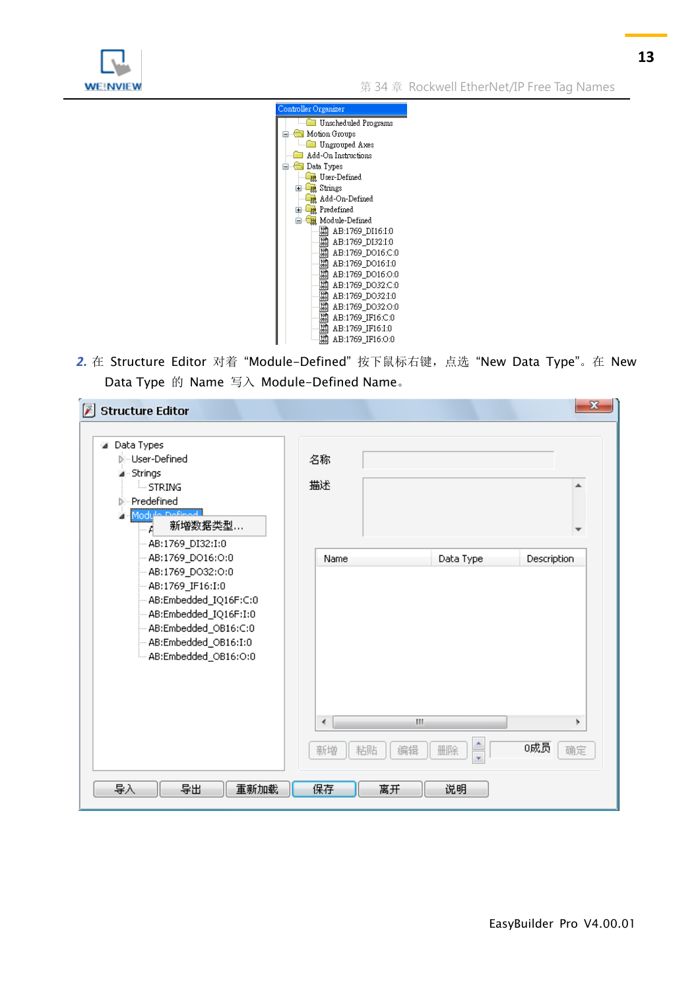

**WE!NVIEW** WERD THE STATE THE STATE STATE ROCKWELL EtherNet/IP Free Tag Names



2. 在 Structure Editor 对着"Module-Defined"按下鼠标右键, 点选"New Data Type"。在 New Data Type 的 Name 写入 Module-Defined Name。

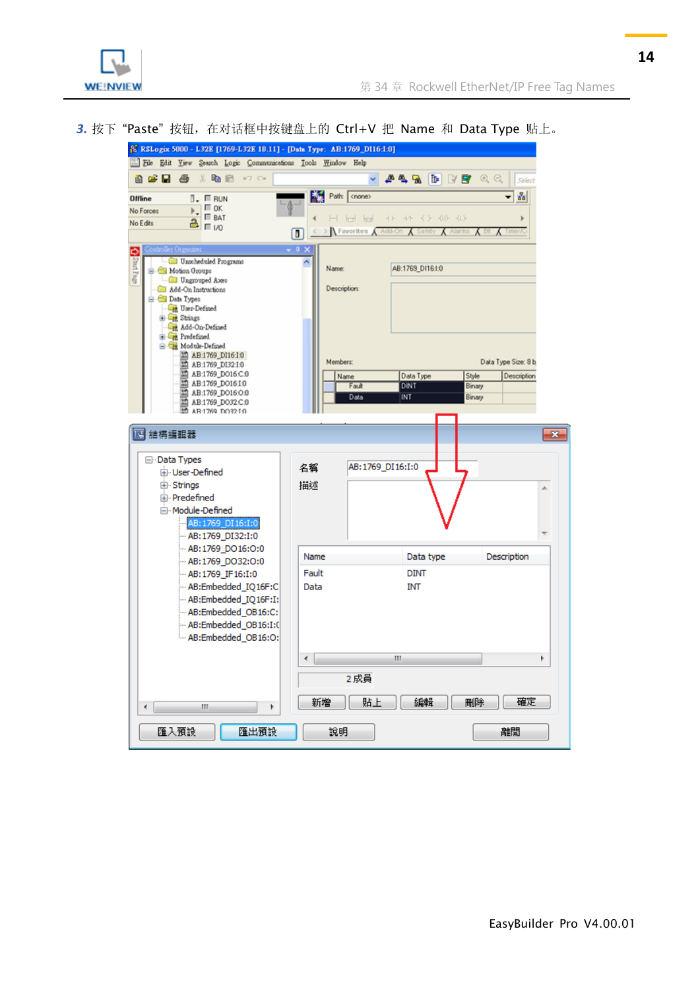

3. 按下"Paste"按钮, 在对话框中按键盘上的 Ctrl+V 把 Name 和 Data Type 贴上。